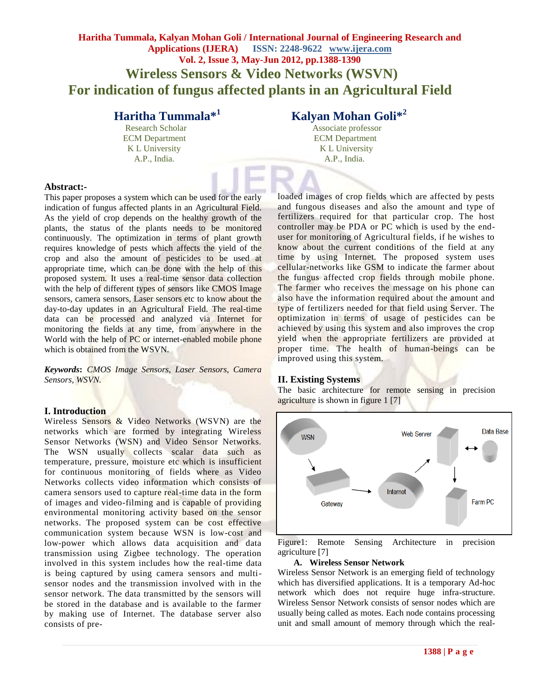# **Haritha Tummala, Kalyan Mohan Goli / International Journal of Engineering Research and Applications (IJERA) ISSN: 2248-9622 www.ijera.com Vol. 2, Issue 3, May-Jun 2012, pp.1388-1390 Wireless Sensors & Video Networks (WSVN) For indication of fungus affected plants in an Agricultural Field**

# **Haritha Tummala\* 1**

ECM Department ECM Department K L University K L University A.P., India. A.P., India.

# **Kalyan Mohan Goli\*<sup>2</sup>**

Research Scholar Associate professor

## **Abstract:-**

This paper proposes a system which can be used for the early indication of fungus affected plants in an Agricultural Field. As the yield of crop depends on the healthy growth of the plants, the status of the plants needs to be monitored continuously. The optimization in terms of plant growth requires knowledge of pests which affects the yield of the crop and also the amount of pesticides to be used at appropriate time, which can be done with the help of this proposed system. It uses a real-time sensor data collection with the help of different types of sensors like CMOS Image sensors, camera sensors, Laser sensors etc to know about the day-to-day updates in an Agricultural Field. The real-time data can be processed and analyzed via Internet for monitoring the fields at any time, from anywhere in the World with the help of PC or internet-enabled mobile phone which is obtained from the WSVN.

*Keywords***:** *CMOS Image Sensors, Laser Sensors, Camera Sensors, WSVN.*

# **I. Introduction**

Wireless Sensors & Video Networks (WSVN) are the networks which are formed by integrating Wireless Sensor Networks (WSN) and Video Sensor Networks. The WSN usually collects scalar data such as temperature, pressure, moisture etc which is insufficient for continuous monitoring of fields where as Video Networks collects video information which consists of camera sensors used to capture real-time data in the form of images and video-filming and is capable of providing environmental monitoring activity based on the sensor networks. The proposed system can be cost effective communication system because WSN is low-cost and low-power which allows data acquisition and data transmission using Zigbee technology. The operation involved in this system includes how the real-time data is being captured by using camera sensors and multisensor nodes and the transmission involved with in the sensor network. The data transmitted by the sensors will be stored in the database and is available to the farmer by making use of Internet. The database server also consists of preloaded images of crop fields which are affected by pests and fungous diseases and also the amount and type of fertilizers required for that particular crop. The host controller may be PDA or PC which is used by the enduser for monitoring of Agricultural fields, if he wishes to know about the current conditions of the field at any time by using Internet. The proposed system uses cellular-networks like GSM to indicate the farmer about the fungus affected crop fields through mobile phone. The farmer who receives the message on his phone can also have the information required about the amount and type of fertilizers needed for that field using Server. The optimization in terms of usage of pesticides can be achieved by using this system and also improves the crop yield when the appropriate fertilizers are provided at proper time. The health of human-beings can be improved using this system.

# **II. Existing Systems**

The basic architecture for remote sensing in precision agriculture is shown in figure 1 [7]



Figure1: Remote Sensing Architecture in precision agriculture [7]

### **A. Wireless Sensor Network**

Wireless Sensor Network is an emerging field of technology which has diversified applications. It is a temporary Ad-hoc network which does not require huge infra-structure. Wireless Sensor Network consists of sensor nodes which are usually being called as motes. Each node contains processing unit and small amount of memory through which the real-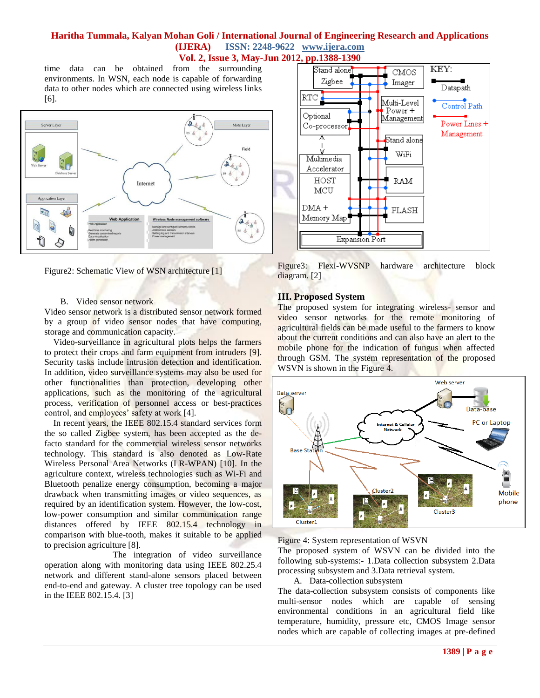# **Haritha Tummala, Kalyan Mohan Goli / International Journal of Engineering Research and Applications (IJERA) ISSN: 2248-9622 www.ijera.com**

**Vol. 2, Issue 3, May-Jun 2012, pp.1388-1390**

time data can be obtained from the surrounding environments. In WSN, each node is capable of forwarding data to other nodes which are connected using wireless links [6].



Figure2: Schematic View of WSN architecture [1]

#### B. Video sensor network

Video sensor network is a distributed sensor network formed by a group of video sensor nodes that have computing, storage and communication capacity.

 Video-surveillance in agricultural plots helps the farmers to protect their crops and farm equipment from intruders [9]. Security tasks include intrusion detection and identification. In addition, video surveillance systems may also be used for other functionalities than protection, developing other applications, such as the monitoring of the agricultural process, verification of personnel access or best-practices control, and employees' safety at work [4].

In recent years, the IEEE 802.15.4 standard services form the so called Zigbee system, has been accepted as the defacto standard for the commercial wireless sensor networks technology. This standard is also denoted as Low-Rate Wireless Personal Area Networks (LR-WPAN) [10]. In the agriculture context, wireless technologies such as Wi-Fi and Bluetooth penalize energy consumption, becoming a major drawback when transmitting images or video sequences, as required by an identification system. However, the low-cost, low-power consumption and similar communication range distances offered by IEEE 802.15.4 technology in comparison with blue-tooth, makes it suitable to be applied to precision agriculture [8].

 The integration of video surveillance operation along with monitoring data using IEEE 802.25.4 network and different stand-alone sensors placed between end-to-end and gateway. A cluster tree topology can be used in the IEEE 802.15.4. [3]



Figure3: Flexi-WVSNP hardware architecture block diagram. [2]

#### **III. Proposed System**

The proposed system for integrating wireless- sensor and video sensor networks for the remote monitoring of agricultural fields can be made useful to the farmers to know about the current conditions and can also have an alert to the mobile phone for the indication of fungus when affected through GSM. The system representation of the proposed WSVN is shown in the Figure 4.



Figure 4: System representation of WSVN

The proposed system of WSVN can be divided into the following sub-systems:- 1.Data collection subsystem 2.Data processing subsystem and 3.Data retrieval system.

A. Data-collection subsystem

The data-collection subsystem consists of components like multi-sensor nodes which are capable of sensing environmental conditions in an agricultural field like temperature, humidity, pressure etc, CMOS Image sensor nodes which are capable of collecting images at pre-defined